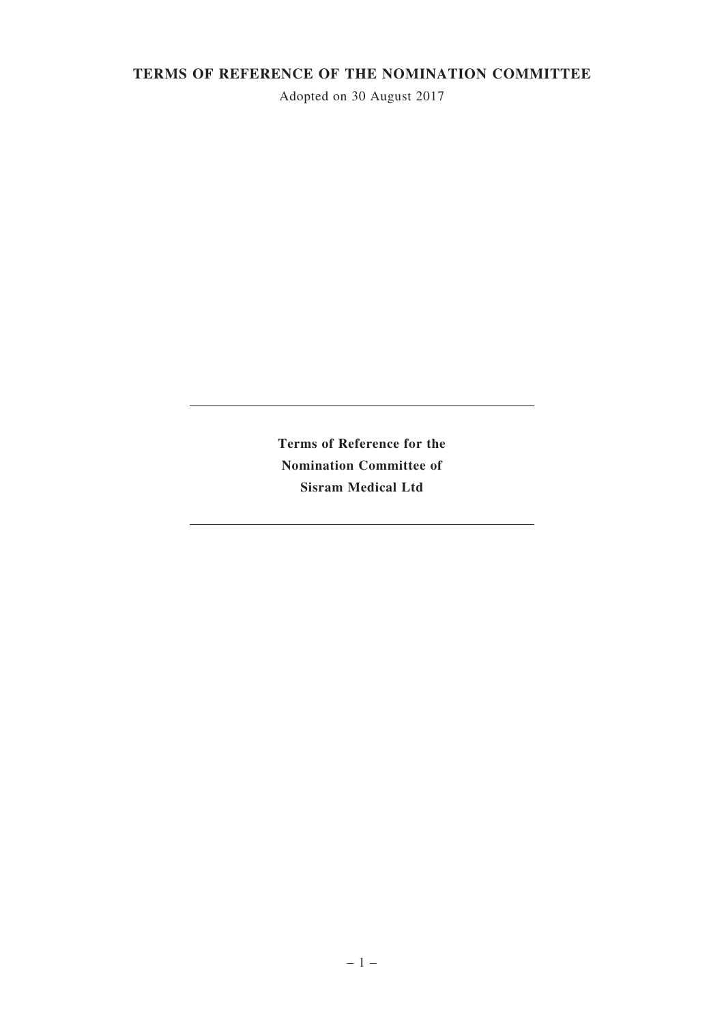# **TERMS OF REFERENCE OF THE NOMINATION COMMITTEE**

Adopted on 30 August 2017

**Terms of Reference for the Nomination Committee of Sisram Medical Ltd**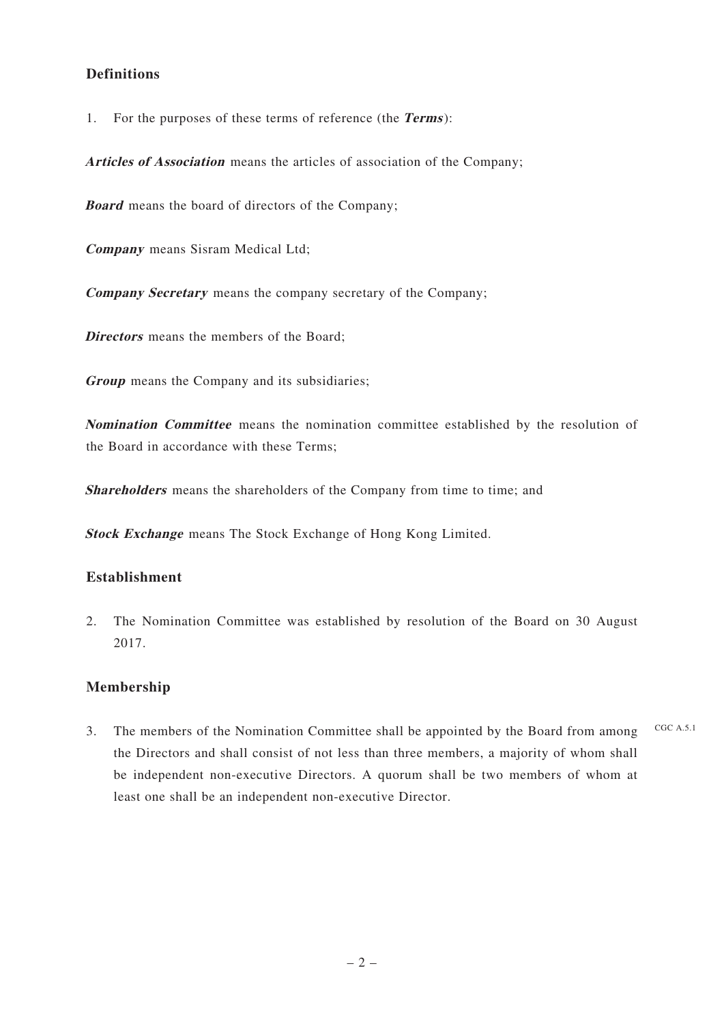# **Definitions**

1. For the purposes of these terms of reference (the **Terms**):

**Articles of Association** means the articles of association of the Company;

**Board** means the board of directors of the Company;

**Company** means Sisram Medical Ltd;

**Company Secretary** means the company secretary of the Company;

**Directors** means the members of the Board;

**Group** means the Company and its subsidiaries;

**Nomination Committee** means the nomination committee established by the resolution of the Board in accordance with these Terms;

**Shareholders** means the shareholders of the Company from time to time; and

**Stock Exchange** means The Stock Exchange of Hong Kong Limited.

#### **Establishment**

2. The Nomination Committee was established by resolution of the Board on 30 August 2017.

#### **Membership**

3. The members of the Nomination Committee shall be appointed by the Board from among the Directors and shall consist of not less than three members, a majority of whom shall be independent non-executive Directors. A quorum shall be two members of whom at least one shall be an independent non-executive Director. CGC A.5.1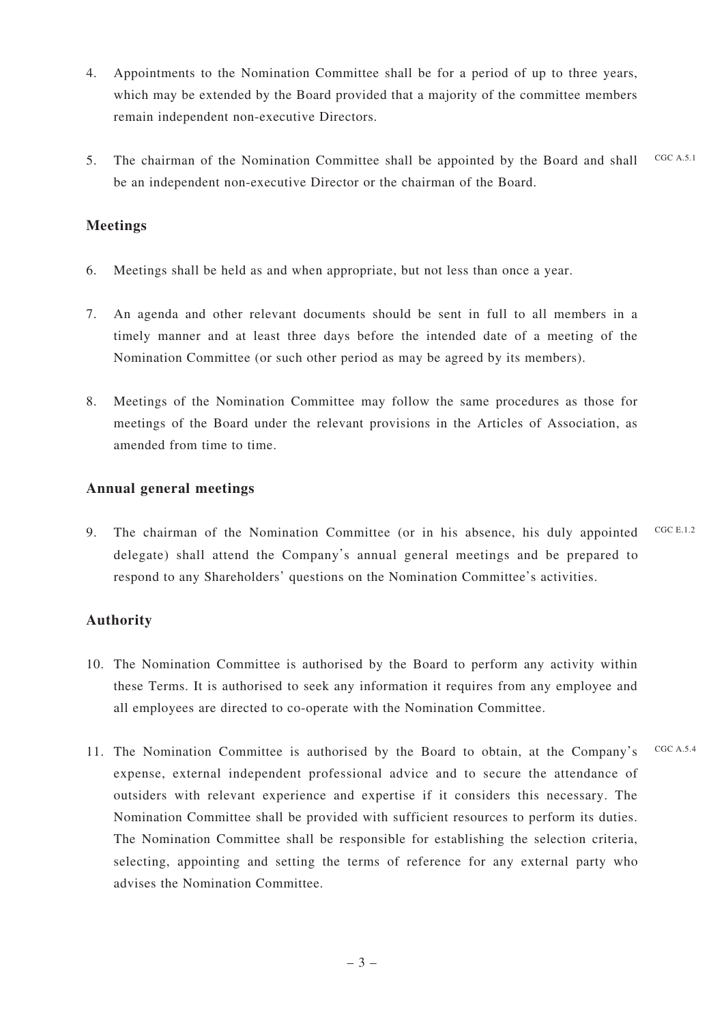- 4. Appointments to the Nomination Committee shall be for a period of up to three years, which may be extended by the Board provided that a majority of the committee members remain independent non-executive Directors.
- 5. The chairman of the Nomination Committee shall be appointed by the Board and shall be an independent non-executive Director or the chairman of the Board. CGC A.5.1

# **Meetings**

- 6. Meetings shall be held as and when appropriate, but not less than once a year.
- 7. An agenda and other relevant documents should be sent in full to all members in a timely manner and at least three days before the intended date of a meeting of the Nomination Committee (or such other period as may be agreed by its members).
- 8. Meetings of the Nomination Committee may follow the same procedures as those for meetings of the Board under the relevant provisions in the Articles of Association, as amended from time to time.

## **Annual general meetings**

9. The chairman of the Nomination Committee (or in his absence, his duly appointed delegate) shall attend the Company's annual general meetings and be prepared to respond to any Shareholders' questions on the Nomination Committee's activities.  $CGC \to 1.2$ 

# **Authority**

- 10. The Nomination Committee is authorised by the Board to perform any activity within these Terms. It is authorised to seek any information it requires from any employee and all employees are directed to co-operate with the Nomination Committee.
- 11. The Nomination Committee is authorised by the Board to obtain, at the Company's expense, external independent professional advice and to secure the attendance of outsiders with relevant experience and expertise if it considers this necessary. The Nomination Committee shall be provided with sufficient resources to perform its duties. The Nomination Committee shall be responsible for establishing the selection criteria, selecting, appointing and setting the terms of reference for any external party who advises the Nomination Committee. CGC A.5.4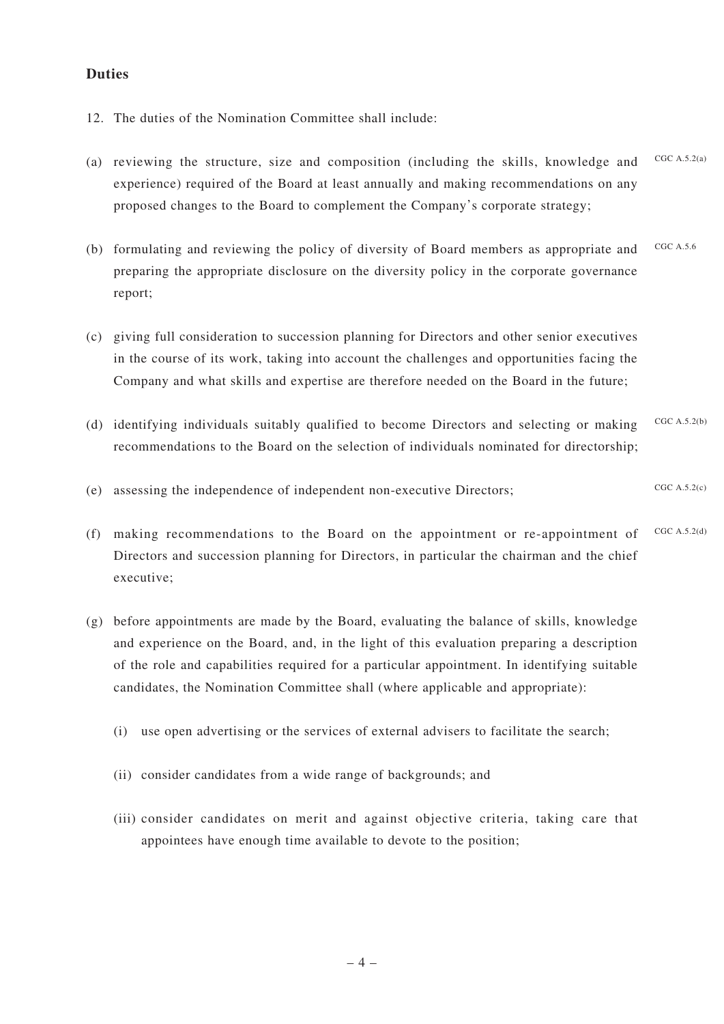## **Duties**

- 12. The duties of the Nomination Committee shall include:
- (a) reviewing the structure, size and composition (including the skills, knowledge and experience) required of the Board at least annually and making recommendations on any proposed changes to the Board to complement the Company's corporate strategy; CGC  $\triangle$  5.2(a)
- (b) formulating and reviewing the policy of diversity of Board members as appropriate and preparing the appropriate disclosure on the diversity policy in the corporate governance report; CGC A.5.6
- (c) giving full consideration to succession planning for Directors and other senior executives in the course of its work, taking into account the challenges and opportunities facing the Company and what skills and expertise are therefore needed on the Board in the future;
- (d) identifying individuals suitably qualified to become Directors and selecting or making recommendations to the Board on the selection of individuals nominated for directorship; CGC A.5.2(b)
- (e) assessing the independence of independent non-executive Directors; CGC A.5.2(c)
- (f) making recommendations to the Board on the appointment or re-appointment of Directors and succession planning for Directors, in particular the chairman and the chief executive; CGC A.5.2(d)
- (g) before appointments are made by the Board, evaluating the balance of skills, knowledge and experience on the Board, and, in the light of this evaluation preparing a description of the role and capabilities required for a particular appointment. In identifying suitable candidates, the Nomination Committee shall (where applicable and appropriate):
	- (i) use open advertising or the services of external advisers to facilitate the search;
	- (ii) consider candidates from a wide range of backgrounds; and
	- (iii) consider candidates on merit and against objective criteria, taking care that appointees have enough time available to devote to the position;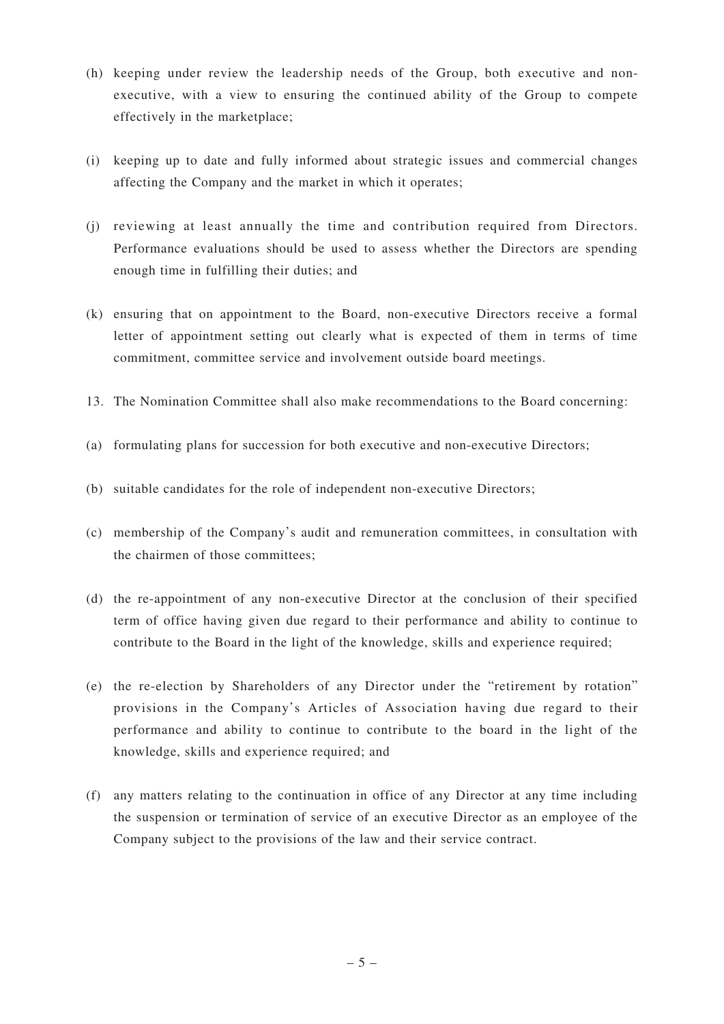- (h) keeping under review the leadership needs of the Group, both executive and nonexecutive, with a view to ensuring the continued ability of the Group to compete effectively in the marketplace;
- (i) keeping up to date and fully informed about strategic issues and commercial changes affecting the Company and the market in which it operates;
- (j) reviewing at least annually the time and contribution required from Directors. Performance evaluations should be used to assess whether the Directors are spending enough time in fulfilling their duties; and
- (k) ensuring that on appointment to the Board, non-executive Directors receive a formal letter of appointment setting out clearly what is expected of them in terms of time commitment, committee service and involvement outside board meetings.
- 13. The Nomination Committee shall also make recommendations to the Board concerning:
- (a) formulating plans for succession for both executive and non-executive Directors;
- (b) suitable candidates for the role of independent non-executive Directors;
- (c) membership of the Company's audit and remuneration committees, in consultation with the chairmen of those committees;
- (d) the re-appointment of any non-executive Director at the conclusion of their specified term of office having given due regard to their performance and ability to continue to contribute to the Board in the light of the knowledge, skills and experience required;
- (e) the re-election by Shareholders of any Director under the "retirement by rotation" provisions in the Company's Articles of Association having due regard to their performance and ability to continue to contribute to the board in the light of the knowledge, skills and experience required; and
- (f) any matters relating to the continuation in office of any Director at any time including the suspension or termination of service of an executive Director as an employee of the Company subject to the provisions of the law and their service contract.